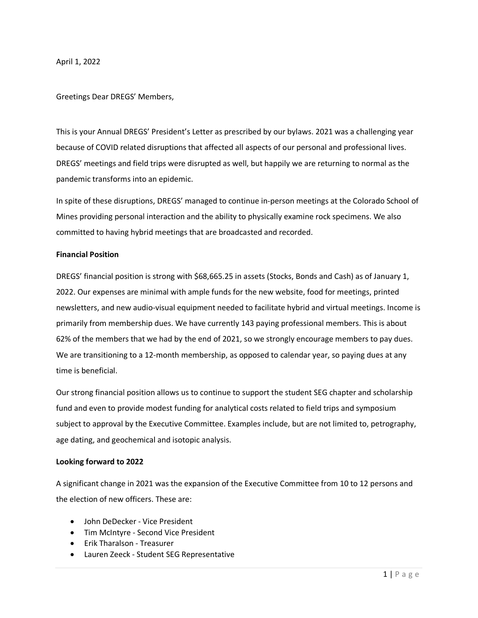April 1, 2022

Greetings Dear DREGS' Members,

This is your Annual DREGS' President's Letter as prescribed by our bylaws. 2021 was a challenging year because of COVID related disruptions that affected all aspects of our personal and professional lives. DREGS' meetings and field trips were disrupted as well, but happily we are returning to normal as the pandemic transforms into an epidemic.

In spite of these disruptions, DREGS' managed to continue in-person meetings at the Colorado School of Mines providing personal interaction and the ability to physically examine rock specimens. We also committed to having hybrid meetings that are broadcasted and recorded.

## **Financial Position**

DREGS' financial position is strong with \$68,665.25 in assets (Stocks, Bonds and Cash) as of January 1, 2022. Our expenses are minimal with ample funds for the new website, food for meetings, printed newsletters, and new audio-visual equipment needed to facilitate hybrid and virtual meetings. Income is primarily from membership dues. We have currently 143 paying professional members. This is about 62% of the members that we had by the end of 2021, so we strongly encourage members to pay dues. We are transitioning to a 12-month membership, as opposed to calendar year, so paying dues at any time is beneficial.

Our strong financial position allows us to continue to support the student SEG chapter and scholarship fund and even to provide modest funding for analytical costs related to field trips and symposium subject to approval by the Executive Committee. Examples include, but are not limited to, petrography, age dating, and geochemical and isotopic analysis.

# **Looking forward to 2022**

A significant change in 2021 was the expansion of the Executive Committee from 10 to 12 persons and the election of new officers. These are:

- John DeDecker Vice President
- Tim McIntyre Second Vice President
- Erik Tharalson Treasurer
- Lauren Zeeck Student SEG Representative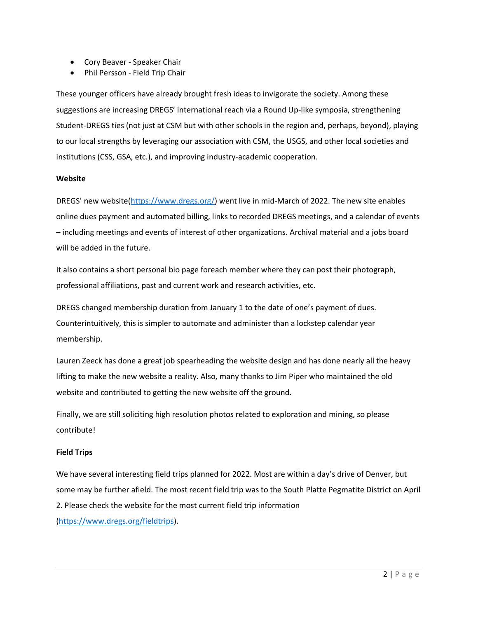- Cory Beaver Speaker Chair
- Phil Persson Field Trip Chair

These younger officers have already brought fresh ideas to invigorate the society. Among these suggestions are increasing DREGS' international reach via a Round Up-like symposia, strengthening Student-DREGS ties (not just at CSM but with other schools in the region and, perhaps, beyond), playing to our local strengths by leveraging our association with CSM, the USGS, and other local societies and institutions (CSS, GSA, etc.), and improving industry-academic cooperation.

## **Website**

DREGS' new website[\(https://www.dregs.org/\)](https://www.dregs.org/) went live in mid-March of 2022. The new site enables online dues payment and automated billing, links to recorded DREGS meetings, and a calendar of events – including meetings and events of interest of other organizations. Archival material and a jobs board will be added in the future.

It also contains a short personal bio page foreach member where they can post their photograph, professional affiliations, past and current work and research activities, etc.

DREGS changed membership duration from January 1 to the date of one's payment of dues. Counterintuitively, this is simpler to automate and administer than a lockstep calendar year membership.

Lauren Zeeck has done a great job spearheading the website design and has done nearly all the heavy lifting to make the new website a reality. Also, many thanks to Jim Piper who maintained the old website and contributed to getting the new website off the ground.

Finally, we are still soliciting high resolution photos related to exploration and mining, so please contribute!

# **Field Trips**

We have several interesting field trips planned for 2022. Most are within a day's drive of Denver, but some may be further afield. The most recent field trip was to the South Platte Pegmatite District on April 2. Please check the website for the most current field trip information [\(https://www.dregs.org/fieldtrips\)](https://www.dregs.org/fieldtrips).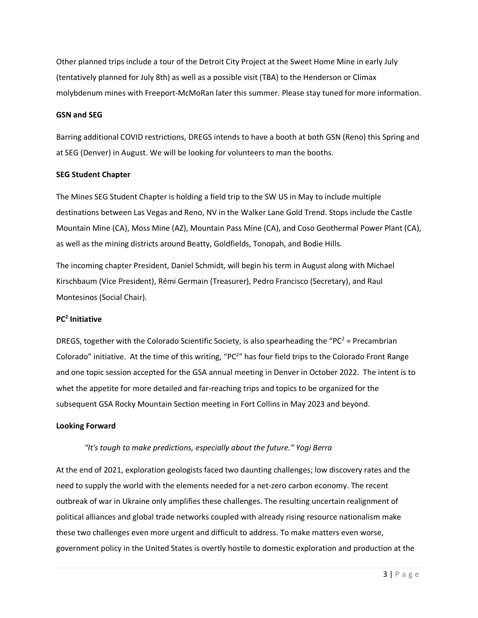Other planned trips include a tour of the Detroit City Project at the Sweet Home Mine in early July (tentatively planned for July 8th) as well as a possible visit (TBA) to the Henderson or Climax molybdenum mines with Freeport-McMoRan later this summer. Please stay tuned for more information.

#### **GSN and SEG**

Barring additional COVID restrictions, DREGS intends to have a booth at both GSN (Reno) this Spring and at SEG (Denver) in August. We will be looking for volunteers to man the booths.

#### **SEG Student Chapter**

The Mines SEG Student Chapter is holding a field trip to the SW US in May to include multiple destinations between Las Vegas and Reno, NV in the Walker Lane Gold Trend. Stops include the Castle Mountain Mine (CA), Moss Mine (AZ), Mountain Pass Mine (CA), and Coso Geothermal Power Plant (CA), as well as the mining districts around Beatty, Goldfields, Tonopah, and Bodie Hills.

The incoming chapter President, Daniel Schmidt, will begin his term in August along with Michael Kirschbaum (Vice President), Rémi Germain (Treasurer), Pedro Francisco (Secretary), and Raul Montesinos (Social Chair).

### **PC2 Initiative**

DREGS, together with the Colorado Scientific Society, is also spearheading the "PC<sup>2</sup> = Precambrian Colorado" initiative. At the time of this writing, "PC<sup>2</sup>" has four field trips to the Colorado Front Range and one topic session accepted for the GSA annual meeting in Denver in October 2022. The intent is to whet the appetite for more detailed and far-reaching trips and topics to be organized for the subsequent GSA Rocky Mountain Section meeting in Fort Collins in May 2023 and beyond.

#### **Looking Forward**

### *"It's tough to make predictions, especially about the future." Yogi Berra*

At the end of 2021, exploration geologists faced two daunting challenges; low discovery rates and the need to supply the world with the elements needed for a net-zero carbon economy. The recent outbreak of war in Ukraine only amplifies these challenges. The resulting uncertain realignment of political alliances and global trade networks coupled with already rising resource nationalism make these two challenges even more urgent and difficult to address. To make matters even worse, government policy in the United States is overtly hostile to domestic exploration and production at the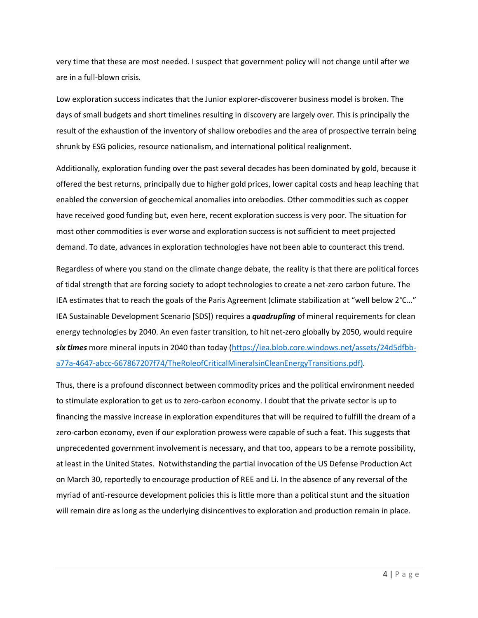very time that these are most needed. I suspect that government policy will not change until after we are in a full-blown crisis.

Low exploration success indicates that the Junior explorer-discoverer business model is broken. The days of small budgets and short timelines resulting in discovery are largely over. This is principally the result of the exhaustion of the inventory of shallow orebodies and the area of prospective terrain being shrunk by ESG policies, resource nationalism, and international political realignment.

Additionally, exploration funding over the past several decades has been dominated by gold, because it offered the best returns, principally due to higher gold prices, lower capital costs and heap leaching that enabled the conversion of geochemical anomalies into orebodies. Other commodities such as copper have received good funding but, even here, recent exploration success is very poor. The situation for most other commodities is ever worse and exploration success is not sufficient to meet projected demand. To date, advances in exploration technologies have not been able to counteract this trend.

Regardless of where you stand on the climate change debate, the reality is that there are political forces of tidal strength that are forcing society to adopt technologies to create a net-zero carbon future. The IEA estimates that to reach the goals of the Paris Agreement (climate stabilization at "well below 2°C…" IEA Sustainable Development Scenario [SDS]) requires a *quadrupling* of mineral requirements for clean energy technologies by 2040. An even faster transition, to hit net-zero globally by 2050, would require *six times* more mineral inputs in 2040 than today [\(https://iea.blob.core.windows.net/assets/24d5dfbb](https://iea.blob.core.windows.net/assets/24d5dfbb-a77a-4647-abcc-667867207f74/TheRoleofCriticalMineralsinCleanEnergyTransitions.pdf)[a77a-4647-abcc-667867207f74/TheRoleofCriticalMineralsinCleanEnergyTransitions.pdf\)](https://iea.blob.core.windows.net/assets/24d5dfbb-a77a-4647-abcc-667867207f74/TheRoleofCriticalMineralsinCleanEnergyTransitions.pdf).

Thus, there is a profound disconnect between commodity prices and the political environment needed to stimulate exploration to get us to zero-carbon economy. I doubt that the private sector is up to financing the massive increase in exploration expenditures that will be required to fulfill the dream of a zero-carbon economy, even if our exploration prowess were capable of such a feat. This suggests that unprecedented government involvement is necessary, and that too, appears to be a remote possibility, at least in the United States. Notwithstanding the partial invocation of the US Defense Production Act on March 30, reportedly to encourage production of REE and Li. In the absence of any reversal of the myriad of anti-resource development policies this is little more than a political stunt and the situation will remain dire as long as the underlying disincentives to exploration and production remain in place.